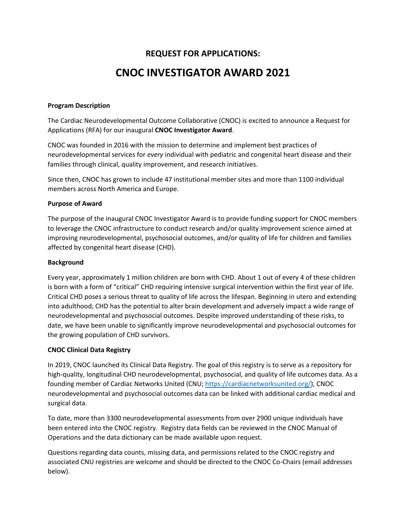# **REQUEST FOR APPLICATIONS: CNOC INVESTIGATOR AWARD 2021**

## **Program Description**

The Cardiac Neurodevelopmental Outcome Collaborative (CNOC) is excited to announce a Request for Applications (RFA) for our inaugural **CNOC Investigator Award**.

CNOC was founded in 2016 with the mission to determine and implement best practices of neurodevelopmental services for *every* individual with pediatric and congenital heart disease and their families through clinical, quality improvement, and research initiatives.

Since then, CNOC has grown to include 47 institutional member sites and more than 1100 individual members across North America and Europe.

## **Purpose of Award**

The purpose of the inaugural CNOC Investigator Award is to provide funding support for CNOC members to leverage the CNOC infrastructure to conduct research and/or quality improvement science aimed at improving neurodevelopmental, psychosocial outcomes, and/or quality of life for children and families affected by congenital heart disease (CHD).

## **Background**

Every year, approximately 1 million children are born with CHD. About 1 out of every 4 of these children is born with a form of "critical" CHD requiring intensive surgical intervention within the first year of life. Critical CHD poses a serious threat to quality of life across the lifespan. Beginning in utero and extending into adulthood, CHD has the potential to alter brain development and adversely impact a wide range of neurodevelopmental and psychosocial outcomes. Despite improved understanding of these risks, to date, we have been unable to significantly improve neurodevelopmental and psychosocial outcomes for the growing population of CHD survivors.

# **CNOC Clinical Data Registry**

In 2019, CNOC launched its Clinical Data Registry. The goal of this registry is to serve as a repository for high-quality, longitudinal CHD neurodevelopmental, psychosocial, and quality of life outcomes data. As a founding member of Cardiac Networks United (CNU[; https://cardiacnetworksunited.org/\)](https://cardiacnetworksunited.org/), CNOC neurodevelopmental and psychosocial outcomes data can be linked with additional cardiac medical and surgical data.

To date, more than 3300 neurodevelopmental assessments from over 2900 unique individuals have been entered into the CNOC registry. Registry data fields can be reviewed in the CNOC Manual of Operations and the data dictionary can be made available upon request.

Questions regarding data counts, missing data, and permissions related to the CNOC registry and associated CNU registries are welcome and should be directed to the CNOC Co-Chairs (email addresses below).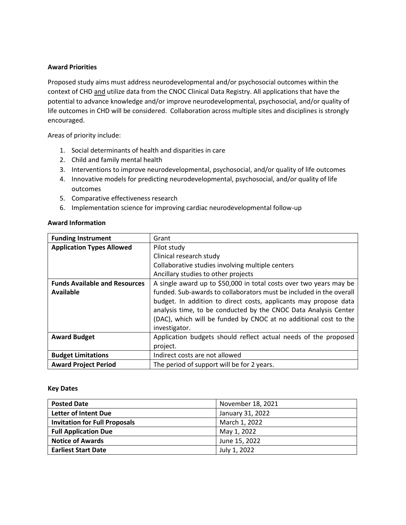## **Award Priorities**

Proposed study aims must address neurodevelopmental and/or psychosocial outcomes within the context of CHD and utilize data from the CNOC Clinical Data Registry. All applications that have the potential to advance knowledge and/or improve neurodevelopmental, psychosocial, and/or quality of life outcomes in CHD will be considered. Collaboration across multiple sites and disciplines is strongly encouraged.

Areas of priority include:

- 1. Social determinants of health and disparities in care
- 2. Child and family mental health
- 3. Interventions to improve neurodevelopmental, psychosocial, and/or quality of life outcomes
- 4. Innovative models for predicting neurodevelopmental, psychosocial, and/or quality of life outcomes
- 5. Comparative effectiveness research
- 6. Implementation science for improving cardiac neurodevelopmental follow-up

|--|

| <b>Funding Instrument</b>            | Grant                                                               |  |
|--------------------------------------|---------------------------------------------------------------------|--|
| <b>Application Types Allowed</b>     | Pilot study                                                         |  |
|                                      | Clinical research study                                             |  |
|                                      | Collaborative studies involving multiple centers                    |  |
|                                      | Ancillary studies to other projects                                 |  |
| <b>Funds Available and Resources</b> | A single award up to \$50,000 in total costs over two years may be  |  |
| Available                            | funded. Sub-awards to collaborators must be included in the overall |  |
|                                      | budget. In addition to direct costs, applicants may propose data    |  |
|                                      | analysis time, to be conducted by the CNOC Data Analysis Center     |  |
|                                      | (DAC), which will be funded by CNOC at no additional cost to the    |  |
|                                      | investigator.                                                       |  |
| <b>Award Budget</b>                  | Application budgets should reflect actual needs of the proposed     |  |
|                                      | project.                                                            |  |
| <b>Budget Limitations</b>            | Indirect costs are not allowed                                      |  |
| <b>Award Project Period</b>          | The period of support will be for 2 years.                          |  |

#### **Key Dates**

| <b>Posted Date</b>                   | November 18, 2021 |
|--------------------------------------|-------------------|
| Letter of Intent Due                 | January 31, 2022  |
| <b>Invitation for Full Proposals</b> | March 1, 2022     |
| <b>Full Application Due</b>          | May 1, 2022       |
| <b>Notice of Awards</b>              | June 15, 2022     |
| <b>Earliest Start Date</b>           | July 1, 2022      |